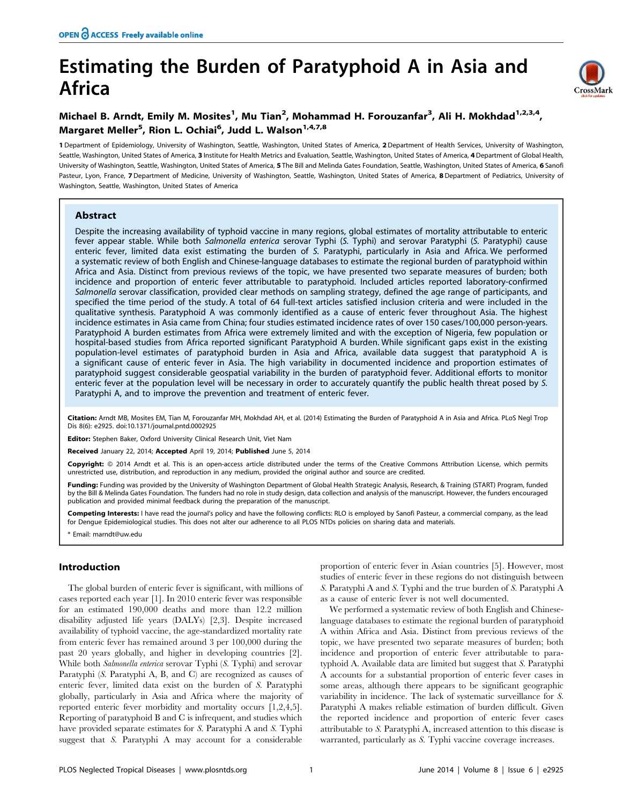# Estimating the Burden of Paratyphoid A in Asia and Africa



# Michael B. Arndt, Emily M. Mosites<sup>1</sup>, Mu Tian<sup>2</sup>, Mohammad H. Forouzanfar<sup>3</sup>, Ali H. Mokhdad<sup>1,2,3,4</sup>, Margaret Meller<sup>5</sup>, Rion L. Ochiai<sup>6</sup>, Judd L. Walson<sup>1,4,7,8</sup>

1 Department of Epidemiology, University of Washington, Seattle, Washington, United States of America, 2Department of Health Services, University of Washington, Seattle, Washington, United States of America, 3 Institute for Health Metrics and Evaluation, Seattle, Washington, United States of America, 4 Department of Global Health, University of Washington, Seattle, Washington, United States of America, 5 The Bill and Melinda Gates Foundation, Seattle, Washington, United States of America, 6 Sanofi Pasteur, Lyon, France, 7 Department of Medicine, University of Washington, Seattle, Washington, United States of America, 8 Department of Pediatrics, University of Washington, Seattle, Washington, United States of America

# Abstract

Despite the increasing availability of typhoid vaccine in many regions, global estimates of mortality attributable to enteric fever appear stable. While both Salmonella enterica serovar Typhi (S. Typhi) and serovar Paratyphi (S. Paratyphi) cause enteric fever, limited data exist estimating the burden of S. Paratyphi, particularly in Asia and Africa. We performed a systematic review of both English and Chinese-language databases to estimate the regional burden of paratyphoid within Africa and Asia. Distinct from previous reviews of the topic, we have presented two separate measures of burden; both incidence and proportion of enteric fever attributable to paratyphoid. Included articles reported laboratory-confirmed Salmonella serovar classification, provided clear methods on sampling strategy, defined the age range of participants, and specified the time period of the study. A total of 64 full-text articles satisfied inclusion criteria and were included in the qualitative synthesis. Paratyphoid A was commonly identified as a cause of enteric fever throughout Asia. The highest incidence estimates in Asia came from China; four studies estimated incidence rates of over 150 cases/100,000 person-years. Paratyphoid A burden estimates from Africa were extremely limited and with the exception of Nigeria, few population or hospital-based studies from Africa reported significant Paratyphoid A burden. While significant gaps exist in the existing population-level estimates of paratyphoid burden in Asia and Africa, available data suggest that paratyphoid A is a significant cause of enteric fever in Asia. The high variability in documented incidence and proportion estimates of paratyphoid suggest considerable geospatial variability in the burden of paratyphoid fever. Additional efforts to monitor enteric fever at the population level will be necessary in order to accurately quantify the public health threat posed by S. Paratyphi A, and to improve the prevention and treatment of enteric fever.

Citation: Arndt MB, Mosites EM, Tian M, Forouzanfar MH, Mokhdad AH, et al. (2014) Estimating the Burden of Paratyphoid A in Asia and Africa. PLoS Negl Trop Dis 8(6): e2925. doi:10.1371/journal.pntd.0002925

Editor: Stephen Baker, Oxford University Clinical Research Unit, Viet Nam

Received January 22, 2014; Accepted April 19, 2014; Published June 5, 2014

Copyright: © 2014 Arndt et al. This is an open-access article distributed under the terms of the [Creative Commons Attribution License](http://creativecommons.org/licenses/by/4.0/), which permits unrestricted use, distribution, and reproduction in any medium, provided the original author and source are credited.

Funding: Funding was provided by the University of Washington Department of Global Health Strategic Analysis, Research, & Training (START) Program, funded by the Bill & Melinda Gates Foundation. The funders had no role in study design, data collection and analysis of the manuscript. However, the funders encouraged publication and provided minimal feedback during the preparation of the manuscript.

Competing Interests: I have read the journal's policy and have the following conflicts: RLO is employed by Sanofi Pasteur, a commercial company, as the lead for Dengue Epidemiological studies. This does not alter our adherence to all PLOS NTDs policies on sharing data and materials.

\* Email: marndt@uw.edu

# Introduction

The global burden of enteric fever is significant, with millions of cases reported each year [1]. In 2010 enteric fever was responsible for an estimated 190,000 deaths and more than 12.2 million disability adjusted life years (DALYs) [2,3]. Despite increased availability of typhoid vaccine, the age-standardized mortality rate from enteric fever has remained around 3 per 100,000 during the past 20 years globally, and higher in developing countries [2]. While both Salmonella enterica serovar Typhi (S. Typhi) and serovar Paratyphi (S. Paratyphi A, B, and C) are recognized as causes of enteric fever, limited data exist on the burden of S. Paratyphi globally, particularly in Asia and Africa where the majority of reported enteric fever morbidity and mortality occurs [1,2,4,5]. Reporting of paratyphoid B and C is infrequent, and studies which have provided separate estimates for S. Paratyphi A and S. Typhi suggest that S. Paratyphi A may account for a considerable

proportion of enteric fever in Asian countries [5]. However, most studies of enteric fever in these regions do not distinguish between S. Paratyphi A and S. Typhi and the true burden of S. Paratyphi A as a cause of enteric fever is not well documented.

We performed a systematic review of both English and Chineselanguage databases to estimate the regional burden of paratyphoid A within Africa and Asia. Distinct from previous reviews of the topic, we have presented two separate measures of burden; both incidence and proportion of enteric fever attributable to paratyphoid A. Available data are limited but suggest that S. Paratyphi A accounts for a substantial proportion of enteric fever cases in some areas, although there appears to be significant geographic variability in incidence. The lack of systematic surveillance for S. Paratyphi A makes reliable estimation of burden difficult. Given the reported incidence and proportion of enteric fever cases attributable to S. Paratyphi A, increased attention to this disease is warranted, particularly as S. Typhi vaccine coverage increases.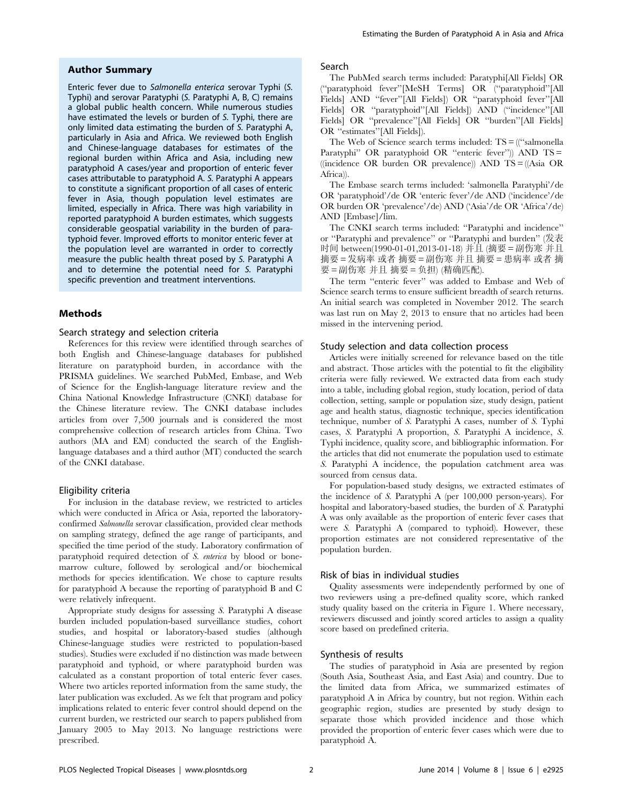#### Author Summary

Enteric fever due to Salmonella enterica serovar Typhi (S. Typhi) and serovar Paratyphi (S. Paratyphi A, B, C) remains a global public health concern. While numerous studies have estimated the levels or burden of S. Typhi, there are only limited data estimating the burden of S. Paratyphi A, particularly in Asia and Africa. We reviewed both English and Chinese-language databases for estimates of the regional burden within Africa and Asia, including new paratyphoid A cases/year and proportion of enteric fever cases attributable to paratyphoid A. S. Paratyphi A appears to constitute a significant proportion of all cases of enteric fever in Asia, though population level estimates are limited, especially in Africa. There was high variability in reported paratyphoid A burden estimates, which suggests considerable geospatial variability in the burden of paratyphoid fever. Improved efforts to monitor enteric fever at the population level are warranted in order to correctly measure the public health threat posed by S. Paratyphi A and to determine the potential need for S. Paratyphi specific prevention and treatment interventions.

#### Methods

# Search strategy and selection criteria

References for this review were identified through searches of both English and Chinese-language databases for published literature on paratyphoid burden, in accordance with the PRISMA guidelines. We searched PubMed, Embase, and Web of Science for the English-language literature review and the China National Knowledge Infrastructure (CNKI) database for the Chinese literature review. The CNKI database includes articles from over 7,500 journals and is considered the most comprehensive collection of research articles from China. Two authors (MA and EM) conducted the search of the Englishlanguage databases and a third author (MT) conducted the search of the CNKI database.

#### Eligibility criteria

For inclusion in the database review, we restricted to articles which were conducted in Africa or Asia, reported the laboratoryconfirmed Salmonella serovar classification, provided clear methods on sampling strategy, defined the age range of participants, and specified the time period of the study. Laboratory confirmation of paratyphoid required detection of S. enterica by blood or bonemarrow culture, followed by serological and/or biochemical methods for species identification. We chose to capture results for paratyphoid A because the reporting of paratyphoid B and C were relatively infrequent.

Appropriate study designs for assessing S. Paratyphi A disease burden included population-based surveillance studies, cohort studies, and hospital or laboratory-based studies (although Chinese-language studies were restricted to population-based studies). Studies were excluded if no distinction was made between paratyphoid and typhoid, or where paratyphoid burden was calculated as a constant proportion of total enteric fever cases. Where two articles reported information from the same study, the later publication was excluded. As we felt that program and policy implications related to enteric fever control should depend on the current burden, we restricted our search to papers published from January 2005 to May 2013. No language restrictions were prescribed.

#### Search

The PubMed search terms included: Paratyphi[All Fields] OR (''paratyphoid fever''[MeSH Terms] OR (''paratyphoid''[All Fields] AND ''fever''[All Fields]) OR ''paratyphoid fever''[All Fields] OR ''paratyphoid''[All Fields]) AND (''incidence''[All Fields] OR ''prevalence''[All Fields] OR ''burden''[All Fields] OR ''estimates''[All Fields]).

The Web of Science search terms included: TS = ((''salmonella Paratyphi'' OR paratyphoid OR ''enteric fever'')) AND TS = ((incidence OR burden OR prevalence)) AND  $TS = (Asia \ OR$ Africa)).

The Embase search terms included: 'salmonella Paratyphi'/de OR 'paratyphoid'/de OR 'enteric fever'/de AND ('incidence'/de OR burden OR 'prevalence'/de) AND ('Asia'/de OR 'Africa'/de) AND [Embase]/lim.

The CNKI search terms included: ''Paratyphi and incidence'' or ''Paratyphi and prevalence'' or ''Paratyphi and burden'' (发表 时间 between(1990-01-01,2013-01-18) 并且 (摘要= 副伤寒 并且 摘要 = 发病率 或者 摘要 = 副伤寒 并且 摘要= 患病率 或者 摘 要 =副伤寒 并且 摘要= 负担) (精确匹配).

The term ''enteric fever'' was added to Embase and Web of Science search terms to ensure sufficient breadth of search returns. An initial search was completed in November 2012. The search was last run on May 2, 2013 to ensure that no articles had been missed in the intervening period.

#### Study selection and data collection process

Articles were initially screened for relevance based on the title and abstract. Those articles with the potential to fit the eligibility criteria were fully reviewed. We extracted data from each study into a table, including global region, study location, period of data collection, setting, sample or population size, study design, patient age and health status, diagnostic technique, species identification technique, number of S. Paratyphi A cases, number of S. Typhi cases, S. Paratyphi A proportion, S. Paratyphi A incidence, S. Typhi incidence, quality score, and bibliographic information. For the articles that did not enumerate the population used to estimate S. Paratyphi A incidence, the population catchment area was sourced from census data.

For population-based study designs, we extracted estimates of the incidence of S. Paratyphi A (per 100,000 person-years). For hospital and laboratory-based studies, the burden of S. Paratyphi A was only available as the proportion of enteric fever cases that were S. Paratyphi A (compared to typhoid). However, these proportion estimates are not considered representative of the population burden.

### Risk of bias in individual studies

Quality assessments were independently performed by one of two reviewers using a pre-defined quality score, which ranked study quality based on the criteria in Figure 1. Where necessary, reviewers discussed and jointly scored articles to assign a quality score based on predefined criteria.

#### Synthesis of results

The studies of paratyphoid in Asia are presented by region (South Asia, Southeast Asia, and East Asia) and country. Due to the limited data from Africa, we summarized estimates of paratyphoid A in Africa by country, but not region. Within each geographic region, studies are presented by study design to separate those which provided incidence and those which provided the proportion of enteric fever cases which were due to paratyphoid A.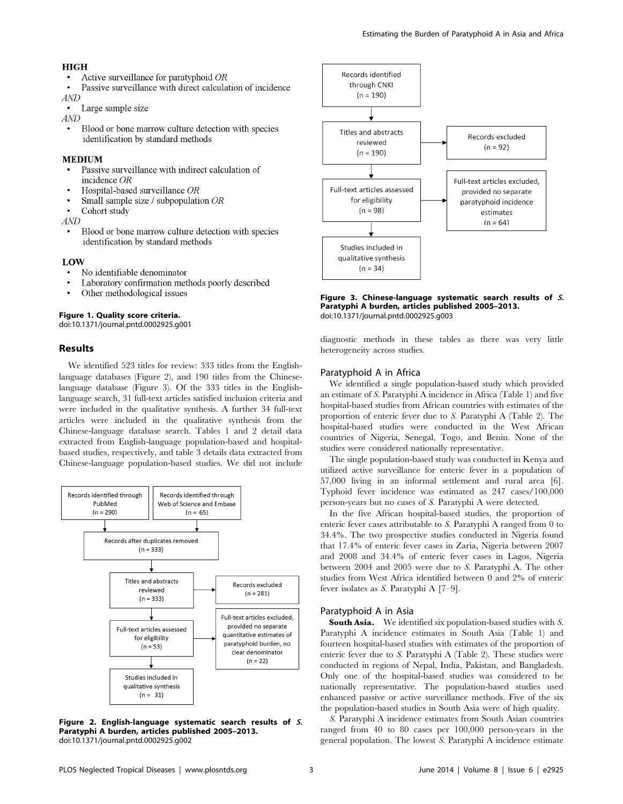### **HIGH**

- Active surveillance for paratyphoid OR
- $\ddot{\phantom{a}}$ Passive surveillance with direct calculation of incidence  $\overline{AND}$
- Large sample size

 $AND$ 

Blood or bone marrow culture detection with species identification by standard methods

### **MEDIUM**

- Passive surveillance with indirect calculation of incidence  $OR$
- Hospital-based surveillance OR
- Small sample size / subpopulation OR
- Cohort study

 $AND$ 

Blood or bone marrow culture detection with species identification by standard methods

#### LOW

- No identifiable denominator
- Laboratory confirmation methods poorly described
- Other methodological issues

# Figure 1. Quality score criteria.

doi:10.1371/journal.pntd.0002925.g001

#### Results

We identified 523 titles for review: 333 titles from the Englishlanguage databases (Figure 2), and 190 titles from the Chineselanguage database (Figure 3). Of the 333 titles in the Englishlanguage search, 31 full-text articles satisfied inclusion criteria and were included in the qualitative synthesis. A further 34 full-text articles were included in the qualitative synthesis from the Chinese-language database search. Tables 1 and 2 detail data extracted from English-language population-based and hospitalbased studies, respectively, and table 3 details data extracted from Chinese-language population-based studies. We did not include



Figure 2. English-language systematic search results of S. Paratyphi A burden, articles published 2005–2013. doi:10.1371/journal.pntd.0002925.g002



Figure 3. Chinese-language systematic search results of S. Paratyphi A burden, articles published 2005–2013. doi:10.1371/journal.pntd.0002925.g003

diagnostic methods in these tables as there was very little heterogeneity across studies.

# Paratyphoid A in Africa

We identified a single population-based study which provided an estimate of S. Paratyphi A incidence in Africa (Table 1) and five hospital-based studies from African countries with estimates of the proportion of enteric fever due to S. Paratyphi A (Table 2). The hospital-based studies were conducted in the West African countries of Nigeria, Senegal, Togo, and Benin. None of the studies were considered nationally representative.

The single population-based study was conducted in Kenya and utilized active surveillance for enteric fever in a population of 57,000 living in an informal settlement and rural area [6]. Typhoid fever incidence was estimated as 247 cases/100,000 person-years but no cases of S. Paratyphi A were detected.

In the five African hospital-based studies, the proportion of enteric fever cases attributable to S. Paratyphi A ranged from 0 to 34.4%. The two prospective studies conducted in Nigeria found that 17.4% of enteric fever cases in Zaria, Nigeria between 2007 and 2008 and 34.4% of enteric fever cases in Lagos, Nigeria between 2004 and 2005 were due to S. Paratyphi A. The other studies from West Africa identified between 0 and 2% of enteric fever isolates as S. Paratyphi A [7–9].

# Paratyphoid A in Asia

South Asia. We identified six population-based studies with S. Paratyphi A incidence estimates in South Asia (Table 1) and fourteen hospital-based studies with estimates of the proportion of enteric fever due to S. Paratyphi A (Table 2). These studies were conducted in regions of Nepal, India, Pakistan, and Bangladesh. Only one of the hospital-based studies was considered to be nationally representative. The population-based studies used enhanced passive or active surveillance methods. Five of the six the population-based studies in South Asia were of high quality.

S. Paratyphi A incidence estimates from South Asian countries ranged from 40 to 80 cases per 100,000 person-years in the general population. The lowest S. Paratyphi A incidence estimate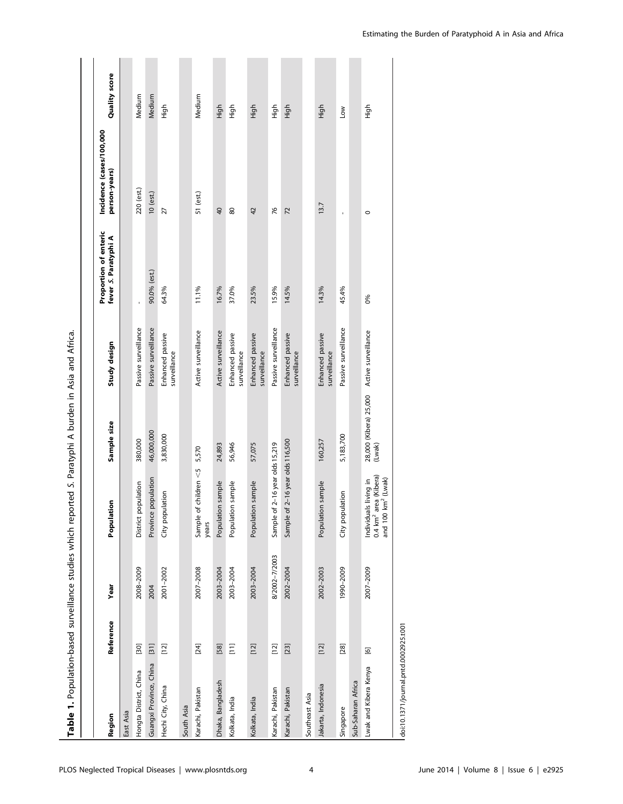| Table 1. Population-based surveillance studies which reported S. Paratyphi A burden in Asia and Africa |           |               |                                                                            |                                                      |                                  |                                               |                                           |                      |
|--------------------------------------------------------------------------------------------------------|-----------|---------------|----------------------------------------------------------------------------|------------------------------------------------------|----------------------------------|-----------------------------------------------|-------------------------------------------|----------------------|
| Region                                                                                                 | Reference | Year          | Population                                                                 | Sample size                                          | Study design                     | Proportion of enteric<br>fever S. Paratyphi A | Incidence (cases/100,000<br>person-years) | <b>Quality score</b> |
| East Asia                                                                                              |           |               |                                                                            |                                                      |                                  |                                               |                                           |                      |
| Hongta District, China                                                                                 | $[30]$    | 2008-2009     | District population                                                        | 380,000                                              | Passive surveillance             |                                               | 220 (est.)                                | Medium               |
| Guangxi Province, China                                                                                | $[31]$    | 2004          | population<br>Province                                                     | 46,000,000                                           | Passive surveillance             | 90.0% (est.)                                  | 10 (est.)                                 | Medium               |
| Hechi City, China                                                                                      | $[12]$    | 2001-2002     | City population                                                            | 3,830,000                                            | Enhanced passive<br>surveillance | 64.3%                                         | 27                                        | high                 |
| South Asia                                                                                             |           |               |                                                                            |                                                      |                                  |                                               |                                           |                      |
| Karachi, Pakistan                                                                                      | $[24]$    | 2007-2008     | Sample of children <5<br>years                                             | 5,570                                                | Active surveillance              | 11.1%                                         | 51 (est.)                                 | Medium               |
| Dhaka, Bangladesh                                                                                      | $[58]$    | 2003-2004     | Population sample                                                          | 24,893                                               | Active surveillance              | 16.7%                                         | 40                                        | High                 |
| Kolkata, India                                                                                         | $\Xi$     | 2003-2004     | Population sample                                                          | 56,946                                               | Enhanced passive<br>surveillance | 37.0%                                         | 80                                        | High                 |
| Kolkata, India                                                                                         | $[12]$    | 2003-2004     | Population sample                                                          | 57,075                                               | Enhanced passive<br>surveillance | 23.5%                                         | 42                                        | High                 |
| Karachi, Pakistan                                                                                      | $[12]$    | 8/2002-7/2003 | Sample of 2-16 year olds 15,219                                            |                                                      | Passive surveillance             | 15.9%                                         | 76                                        | 속<br>도               |
| Karachi, Pakistan                                                                                      | $[23]$    | 2002-2004     | Sample of 2-16 year olds 116,500                                           |                                                      | Enhanced passive<br>surveillance | 14.5%                                         | 72                                        | High                 |
| Southeast Asia                                                                                         |           |               |                                                                            |                                                      |                                  |                                               |                                           |                      |
| Jakarta, Indonesia                                                                                     | $[12]$    | 2002-2003     | Population sample                                                          | 160,257                                              | Enhanced passive<br>surveillance | 14.3%                                         | 13.7                                      | High                 |
| Singapore                                                                                              | $[28]$    | 1990-2009     | City population                                                            | 5,183,700                                            | Passive surveillance             | 45.4%                                         | ł,                                        | $\sum_{i=1}^{n}$     |
| Sub-Saharan Africa                                                                                     |           |               |                                                                            |                                                      |                                  |                                               |                                           |                      |
| Lwak and Kibera Kenya                                                                                  | $\Xi$     | 2007-2009     | 0.4 $km^2$ area (Kibera)<br>and 100 $km^2$ (Lwak)<br>Individuals living in | 28,000 (Kibera) 25,000 Active surveillance<br>(Lwak) |                                  | 0%                                            | $\circ$                                   | Aigh                 |
| doi:10.1371/journal.pntd.0002925.t001                                                                  |           |               |                                                                            |                                                      |                                  |                                               |                                           |                      |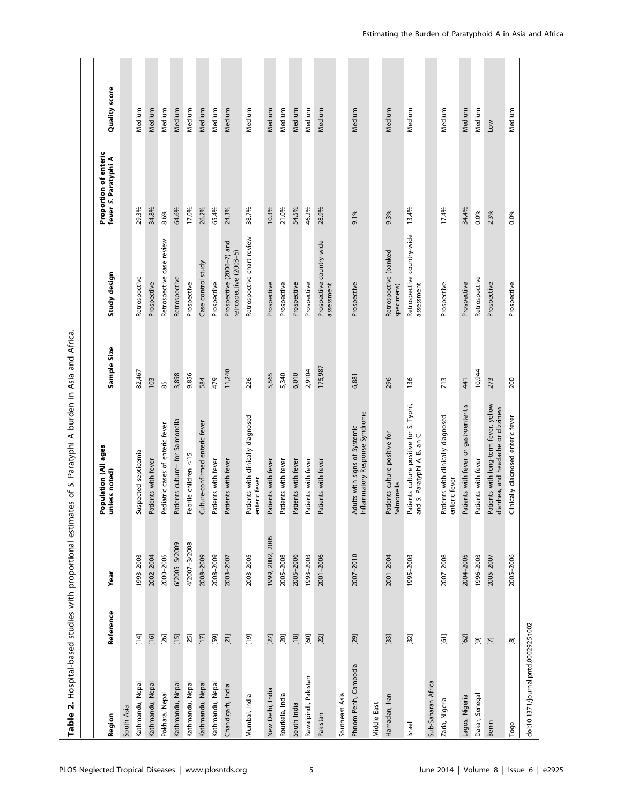| Region               |                         |                  |                                                                              |             |                                                    |                                               |                      |
|----------------------|-------------------------|------------------|------------------------------------------------------------------------------|-------------|----------------------------------------------------|-----------------------------------------------|----------------------|
|                      | Reference               | Year             | Population (All ages<br>unless noted)                                        | Sample Size | Study design                                       | Proportion of enteric<br>fever S. Paratyphi A | <b>Quality score</b> |
| South Asia           |                         |                  |                                                                              |             |                                                    |                                               |                      |
| Kathmandu, Nepal     | $[14]$                  | 1993-2003        | Suspected septicemia                                                         | 82,467      | Retrospective                                      | 29.3%                                         | Medium               |
| Kathmandu, Nepal     | $[16]$                  | 2002-2004        | Patients with fever                                                          | 103         | Prospective                                        | 34.8%                                         | Medium               |
| Pokhara, Nepal       | [26]                    | 2000-2005        | Pediatric cases of enteric fever                                             | 85          | Retrospective case review                          | 8.6%                                          | Medium               |
| Kathmandu, Nepal     | $[15]$                  | 6/2005-5/2009    | Patients culture+ for Salmonella                                             | 3,898       | Retrospective                                      | 64.6%                                         | Medium               |
| Kathmandu, Nepal     | $[25]$                  | 4/2007-3/2008    | Febrile children <15                                                         | 9,856       | Prospective                                        | 17.0%                                         | Medium               |
| Kathmandu, Nepal     | $[17]$                  | 2008-2009        | Culture-confirmed enteric fever                                              | 584         | Case control study                                 | 26.2%                                         | Medium               |
| Kathmandu, Nepal     | $[59]$                  | 2008-2009        | Patients with fever                                                          | 479         | Prospective                                        | 65.4%                                         | Medium               |
| Chandigarh, India    | $[21]$                  | 2003-2007        | Patients with fever                                                          | 11,240      | Prospective (2006-7) and<br>retrospective (2003-5) | 24.3%                                         | Medium               |
| Mumbai, India        | $[19]$                  | 2003-2005        | Patients with clinically diagnosed<br>enteric fever                          | 226         | Retrospective chart review                         | 38.7%                                         | Medium               |
| New Delhi, India     | $[27]$                  | 1999, 2002, 2005 | Patients with fever                                                          | 5,565       | Prospective                                        | 10.3%                                         | Medium               |
| Rourkela, India      | $[20]$                  | 2005-2008        | Patients with fever                                                          | 5,340       | Prospective                                        | 21.0%                                         | Medium               |
| South India          | $\left[18\right]$       | 2005-2006        | Patients with fever                                                          | 6,010       | Prospective                                        | 54.5%                                         | Medium               |
| Rawalpindi, Pakistan | [60]                    | 1993-2003        | Patients with fever                                                          | 2,9104      | Prospective                                        | 46.2%                                         | Medium               |
| Pakistan             | $[22]$                  | 2001-2006        | Patients with fever                                                          | 175,987     | Prospective country-wide<br>assessment             | 28.9%                                         | Medium               |
| Southeast Asia       |                         |                  |                                                                              |             |                                                    |                                               |                      |
| Phnom Penh, Cambodia | $[29]$                  | 2007-2010        | Inflammatory Response Syndrome<br>Adults with signs of Systemic              | 6,881       | Prospective                                        | 9.1%                                          | Medium               |
| Middle East          |                         |                  |                                                                              |             |                                                    |                                               |                      |
| Hamadan, Iran        | $[33]$                  | 2001-2004        | Patients culture positive for<br>Salmonella                                  | 296         | Retrospective (banked<br>specimens)                | 9.3%                                          | Medium               |
| Israel               | $[32]$                  | 1995-2003        | Patients culture positive for S. Typhi,<br>and S. Paratyphi A, B, an C       | 136         | Retrospective country-wide<br>assessment           | 13.4%                                         | Medium               |
| Sub-Saharan Africa   |                         |                  |                                                                              |             |                                                    |                                               |                      |
| Zaria, Nigeria       | $[61]$                  | 2007-2008        | Patients with clinically diagnosed<br>enteric fever                          | 713         | Prospective                                        | 17.4%                                         | Medium               |
| Lagos, Nigeria       | $[62]$                  | 2004-2005        | Patients with fever or gastroenteritis                                       | 441         | Prospective                                        | 34.4%                                         | Medium               |
| Dakar, Senegal       | $\Xi$                   | 1996-2003        | Patients with fever                                                          | 10,944      | Retrospective                                      | 0.0%                                          | Medium               |
| Benin                | $\overline{\mathbb{E}}$ | 2005-2007        | Patients with long-term fever, yellow<br>diarrhea, and headache or dizziness | 273         | Prospective                                        | 2.3%                                          | Low                  |
| Togo                 | $\Xi$                   | 2005-2006        | Clinically diagnosed enteric fever                                           | 200         | Prospective                                        | 0.0%                                          | Medium               |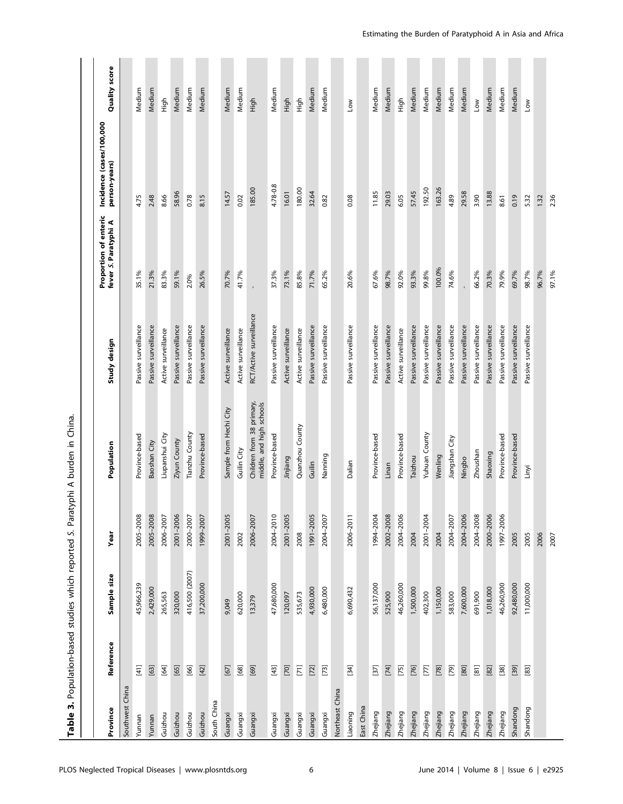|                 |           |                |           | Table 3. Population-based studies which reported S. Paratyphi A burden in China |                         |                                               |                                           |                      |
|-----------------|-----------|----------------|-----------|---------------------------------------------------------------------------------|-------------------------|-----------------------------------------------|-------------------------------------------|----------------------|
| Province        | Reference | Sample size    | Year      | Population                                                                      | Study design            | Proportion of enteric<br>fever S. Paratyphi A | Incidence (cases/100,000<br>person-years) | <b>Quality score</b> |
| Southwest China |           |                |           |                                                                                 |                         |                                               |                                           |                      |
| Yunnan          | $[41]$    | 45,966,239     | 2005-2008 | Province-based                                                                  | Passive surveillance    | 35.1%                                         | 4.75                                      | Medium               |
| Yunnan          | $[63]$    | 2,429,000      | 2005-2008 | Baoshan City                                                                    | Passive surveillance    | 21.3%                                         | 2.48                                      | Medium               |
| Guizhou         | $[64]$    | 265,563        | 2006-2007 | Liupanshui City                                                                 | Active surveillance     | 83.3%                                         | 8.66                                      | High                 |
| Guizhou         | $[65]$    | 320,000        | 2001-2006 | Ziyun County                                                                    | Passive surveillance    | 59.1%                                         | 58.96                                     | Medium               |
| Guizhou         | [66]      | 416,500 (2007) | 2000-2007 | Tianzhu County                                                                  | Passive surveillance    | 2.0%                                          | 0.78                                      | Medium               |
| Guizhou         | $[42]$    | 37,200,000     | 1999-2007 | Province-based                                                                  | Passive surveillance    | 26.5%                                         | 8.15                                      | Medium               |
| South China     |           |                |           |                                                                                 |                         |                                               |                                           |                      |
| Guangxi         | $[67]$    | 9,049          | 2001-2005 | Sample from Hechi City                                                          | Active surveillance     | 70.7%                                         | 14.57                                     | Medium               |
| Guangxi         | $[68]$    | 620,000        | 2002      | Guilin City                                                                     | Active surveillance     | 41.7%                                         | 0.02                                      | Medium               |
| Guangxi         | $[69]$    | 13,379         | 2006-2007 | Children from 38 primary,<br>middle, and high schools                           | RCT/Active surveillance |                                               | 185.00                                    | High                 |
| Guangxi         | $[43]$    | 47,680,000     | 2004-2010 | Province-based                                                                  | Passive surveillance    | 37.3%                                         | 4.78-0.8                                  | Medium               |
| Guangxi         | $[70]$    | 120,097        | 2001-2005 | Jinjiang                                                                        | Active surveillance     | 73.1%                                         | 16.01                                     | $\frac{6}{10}$       |
| Guangxi         | $\Xi$     | 535,673        | 2008      | Quanzhou County                                                                 | Active surveillance     | 85.8%                                         | 180.00                                    | High                 |
| Guangxi         | $[72]$    | 4,930,000      | 1991-2005 | Guilin                                                                          | Passive surveillance    | 71.7%                                         | 32.64                                     | Medium               |
| Guangxi         | $[73]$    | 6,480,000      | 2004-2007 | Nanning                                                                         | Passive surveillance    | 65.2%                                         | 0.82                                      | Medium               |
| Northeast China |           |                |           |                                                                                 |                         |                                               |                                           |                      |
| Liaoning        | [34]      | 6,690,432      | 2006-2011 | Dalian                                                                          | Passive surveillance    | 20.6%                                         | 0.08                                      | Low                  |
| East China      |           |                |           |                                                                                 |                         |                                               |                                           |                      |
| Zhejiang        | $[37]$    | 56,137,000     | 1994-2004 | Province-based                                                                  | Passive surveillance    | 67.6%                                         | 11.85                                     | Medium               |
| Zhejiang        | $[74]$    | 525,900        | 2002-2008 | Linan                                                                           | Passive surveillance    | 98.7%                                         | 29.03                                     | Medium               |
| Zhejiang        | $[75]$    | 46,260,000     | 2004-2006 | Province-based                                                                  | Active surveillance     | 92.0%                                         | 6.05                                      | $\frac{6}{10}$       |
| Zhejiang        | $[76]$    | 1,500,000      | 2004      | Taizhou                                                                         | Passive surveillance    | 93.3%                                         | 57.45                                     | Medium               |
| Zhejiang        | $[77]$    | 402,300        | 2001-2004 | Yuhuan County                                                                   | Passive surveillance    | 99.8%                                         | 192.50                                    | Medium               |
| Zhejiang        | $[78]$    | 1,150,000      | 2004      | Wenling                                                                         | Passive surveillance    | 100.0%                                        | 163.26                                    | Medium               |
| Zhejiang        | $[79]$    | 583,000        | 2004-2007 | Jiangshan City                                                                  | Passive surveillance    | 74.6%                                         | 4.89                                      | Medium               |
| Zhejiang        | $[80]$    | 7,600,000      | 2004-2006 | Ningbo                                                                          | Passive surveillance    |                                               | 29.58                                     | Medium               |
| Zhejiang        | $[81]$    | 691,900        | 2004-2008 | Zhoushan                                                                        | Passive surveillance    | 66.2%                                         | 3.90                                      | Low                  |
| Zhejiang        | $[82]$    | 1,018,000      | 2000-2006 | Shaoxing                                                                        | Passive surveillance    | 70.3%                                         | 13.88                                     | Medium               |
| Zhejiang        | $[38]$    | 46,260,900     | 1997-2006 | Province-based                                                                  | Passive surveillance    | 79.9%                                         | 8.61                                      | Medium               |
| Shandong        | $[39]$    | 92,480,000     | 2005      | Province-based                                                                  | Passive surveillance    | 69.7%                                         | 0.19                                      | Medium               |
| Shandong        | $[83]$    | 11,000,000     | 2005      | Linyi                                                                           | Passive surveillance    | 98.7%                                         | 5.32                                      | Low                  |
|                 |           |                | 2006      |                                                                                 |                         | 96.7%                                         | 1.32                                      |                      |
|                 |           |                | 2007      |                                                                                 |                         | 97.1%                                         | 2.36                                      |                      |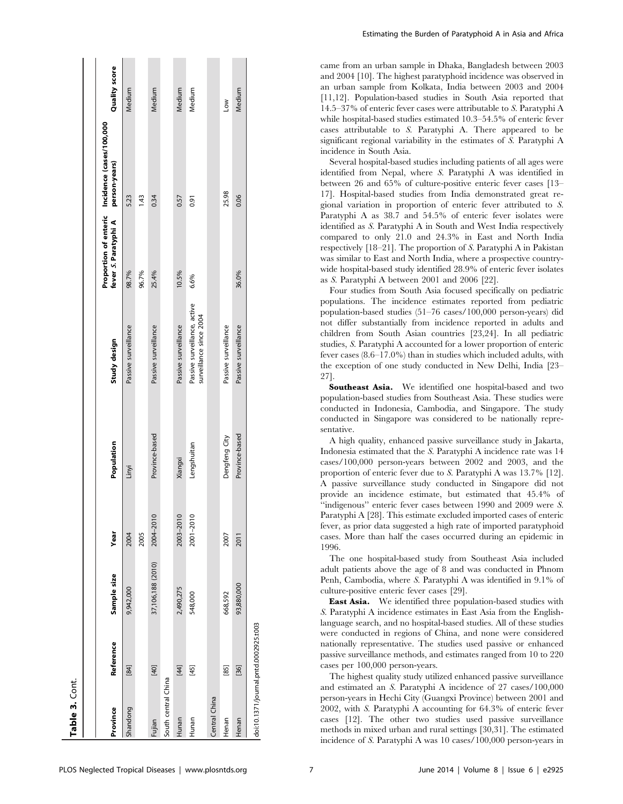| Table 3. Cont.      |                                       |                   |             |                |                                                         |                      |                                                                 |                      |
|---------------------|---------------------------------------|-------------------|-------------|----------------|---------------------------------------------------------|----------------------|-----------------------------------------------------------------|----------------------|
|                     |                                       |                   |             |                |                                                         |                      |                                                                 |                      |
| Province            | Reference                             | Sample size       | Year        | Population     | Study design                                            | fever S. Paratyphi A | Proportion of enteric Incidence (cases/100,000<br>person-years) | <b>Quality score</b> |
| Shandong            | $[84]$                                | 9,942,000         | 2004        | Linyi          | Passive surveillance                                    | 98.7%                | 5.23                                                            | Medium               |
|                     |                                       |                   | 2005        |                |                                                         | 96.7%                | 1.43                                                            |                      |
| Fujian              | $[40]$                                | 37,106,188 (2010) | 2004-2010   | Province-based | Passive surveillance                                    | 25.4%                | 0.34                                                            | Medium               |
| South central China |                                       |                   |             |                |                                                         |                      |                                                                 |                      |
| Hunan               | $[44]$                                | 2,490,275         | 2003-2010   | Xiangxi        | Passive surveillance                                    | 10.5%                | 0.57                                                            | Medium               |
| Hunan               | $[45]$                                | 548,000           | 2001-2010   | Lengshuitan    | Passive surveillance, active<br>surveillance since 2004 | 6.6%                 | 0.91                                                            | Medium               |
| Central China       |                                       |                   |             |                |                                                         |                      |                                                                 |                      |
| Henan               | [85]                                  | 668,592           | 2007        | Dengfeng City  | Passive surveillance                                    |                      | 25.98                                                           | Low                  |
| Henan               | $[36]$                                | 93,880,000        | <b>2011</b> | Province-based | Passive surveillance                                    | 36.0%                | 0.06                                                            | Medium               |
|                     | doi:10.1371/journal.pntd.0002925.t003 |                   |             |                |                                                         |                      |                                                                 |                      |

came from an urban sample in Dhaka, Bangladesh between 2003 and 2004 [10]. The highest paratyphoid incidence was observed in an urban sample from Kolkata, India between 2003 and 2004 [11,12]. Population-based studies in South Asia reported that 14.5–37% of enteric fever cases were attributable to S. Paratyphi A while hospital-based studies estimated 10.3–54.5% of enteric fever cases attributable to S. Paratyphi A. There appeared to be significant regional variability in the estimates of S. Paratyphi A incidence in South Asia.

Several hospital-based studies including patients of all ages were identified from Nepal, where S. Paratyphi A was identified in between 26 and 65% of culture-positive enteric fever cases [13– 17]. Hospital-based studies from India demonstrated great regional variation in proportion of enteric fever attributed to S. Paratyphi A as 38.7 and 54.5% of enteric fever isolates were identified as S. Paratyphi A in South and West India respectively compared to only 21.0 and 24.3% in East and North India respectively [18–21]. The proportion of S. Paratyphi A in Pakistan was similar to East and North India, where a prospective countrywide hospital-based study identified 28.9% of enteric fever isolates as S. Paratyphi A between 2001 and 2006 [22].

Four studies from South Asia focused specifically on pediatric populations. The incidence estimates reported from pediatric population-based studies (51–76 cases/100,000 person-years) did not differ substantially from incidence reported in adults and children from South Asian countries [23,24]. In all pediatric studies, S. Paratyphi A accounted for a lower proportion of enteric fever cases (8.6–17.0%) than in studies which included adults, with the exception of one study conducted in New Delhi, India [23– 27].

Southeast Asia. We identified one hospital-based and two population-based studies from Southeast Asia. These studies were conducted in Indonesia, Cambodia, and Singapore. The study conducted in Singapore was considered to be nationally representative.

A high quality, enhanced passive surveillance study in Jakarta, Indonesia estimated that the S. Paratyphi A incidence rate was 14 cases/100,000 person-years between 2002 and 2003, and the proportion of enteric fever due to S. Paratyphi A was 13.7% [12]. A passive surveillance study conducted in Singapore did not provide an incidence estimate, but estimated that 45.4% of ''indigenous'' enteric fever cases between 1990 and 2009 were S. Paratyphi A [28]. This estimate excluded imported cases of enteric fever, as prior data suggested a high rate of imported paratyphoid cases. More than half the cases occurred during an epidemic in 1996.

The one hospital-based study from Southeast Asia included adult patients above the age of 8 and was conducted in Phnom Penh, Cambodia, where S. Paratyphi A was identified in 9.1% of culture-positive enteric fever cases [29].

East Asia. We identified three population-based studies with S. Paratyphi A incidence estimates in East Asia from the Englishlanguage search, and no hospital-based studies. All of these studies were conducted in regions of China, and none were considered nationally representative. The studies used passive or enhanced passive surveillance methods, and estimates ranged from 10 to 220 cases per 100,000 person-years.

The highest quality study utilized enhanced passive surveillance and estimated an S. Paratyphi A incidence of 27 cases/100,000 person-years in Hechi City (Guangxi Province) between 2001 and 2002, with S. Paratyphi A accounting for 64.3% of enteric fever cases [12]. The other two studies used passive surveillance methods in mixed urban and rural settings [30,31]. The estimated incidence of S. Paratyphi A was 10 cases/100,000 person-years in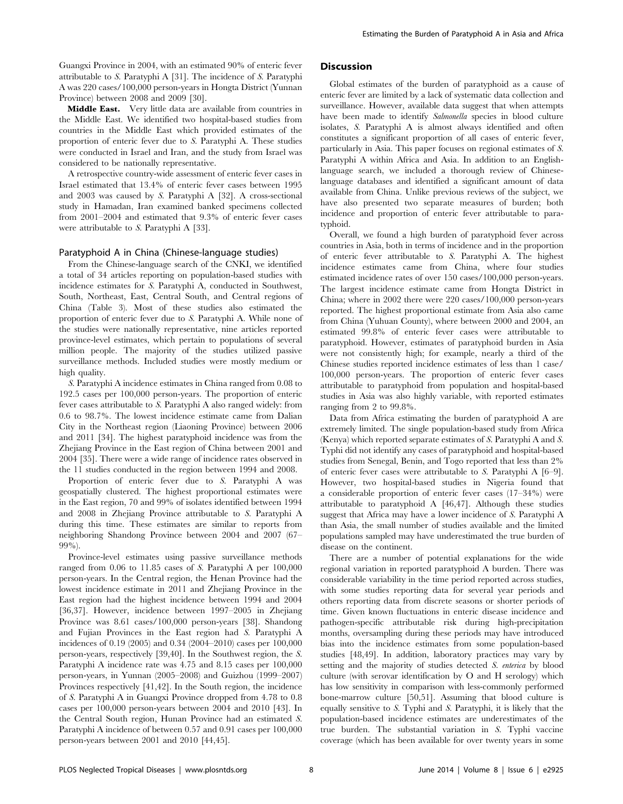Guangxi Province in 2004, with an estimated 90% of enteric fever attributable to S. Paratyphi A [31]. The incidence of S. Paratyphi A was 220 cases/100,000 person-years in Hongta District (Yunnan Province) between 2008 and 2009 [30].

Middle East. Very little data are available from countries in the Middle East. We identified two hospital-based studies from countries in the Middle East which provided estimates of the proportion of enteric fever due to S. Paratyphi A. These studies were conducted in Israel and Iran, and the study from Israel was considered to be nationally representative.

A retrospective country-wide assessment of enteric fever cases in Israel estimated that 13.4% of enteric fever cases between 1995 and 2003 was caused by S. Paratyphi A [32]. A cross-sectional study in Hamadan, Iran examined banked specimens collected from 2001–2004 and estimated that 9.3% of enteric fever cases were attributable to S. Paratyphi A [33].

### Paratyphoid A in China (Chinese-language studies)

From the Chinese-language search of the CNKI, we identified a total of 34 articles reporting on population-based studies with incidence estimates for S. Paratyphi A, conducted in Southwest, South, Northeast, East, Central South, and Central regions of China (Table 3). Most of these studies also estimated the proportion of enteric fever due to S. Paratyphi A. While none of the studies were nationally representative, nine articles reported province-level estimates, which pertain to populations of several million people. The majority of the studies utilized passive surveillance methods. Included studies were mostly medium or high quality.

S. Paratyphi A incidence estimates in China ranged from 0.08 to 192.5 cases per 100,000 person-years. The proportion of enteric fever cases attributable to S. Paratyphi A also ranged widely: from 0.6 to 98.7%. The lowest incidence estimate came from Dalian City in the Northeast region (Liaoning Province) between 2006 and 2011 [34]. The highest paratyphoid incidence was from the Zhejiang Province in the East region of China between 2001 and 2004 [35]. There were a wide range of incidence rates observed in the 11 studies conducted in the region between 1994 and 2008.

Proportion of enteric fever due to S. Paratyphi A was geospatially clustered. The highest proportional estimates were in the East region, 70 and 99% of isolates identified between 1994 and 2008 in Zhejiang Province attributable to S. Paratyphi A during this time. These estimates are similar to reports from neighboring Shandong Province between 2004 and 2007 (67– 99%).

Province-level estimates using passive surveillance methods ranged from 0.06 to 11.85 cases of S. Paratyphi A per 100,000 person-years. In the Central region, the Henan Province had the lowest incidence estimate in 2011 and Zhejiang Province in the East region had the highest incidence between 1994 and 2004 [36,37]. However, incidence between 1997–2005 in Zhejiang Province was 8.61 cases/100,000 person-years [38]. Shandong and Fujian Provinces in the East region had S. Paratyphi A incidences of 0.19 (2005) and 0.34 (2004–2010) cases per 100,000 person-years, respectively [39,40]. In the Southwest region, the S. Paratyphi A incidence rate was 4.75 and 8.15 cases per 100,000 person-years, in Yunnan (2005–2008) and Guizhou (1999–2007) Provinces respectively [41,42]. In the South region, the incidence of S. Paratyphi A in Guangxi Province dropped from 4.78 to 0.8 cases per 100,000 person-years between 2004 and 2010 [43]. In the Central South region, Hunan Province had an estimated S. Paratyphi A incidence of between 0.57 and 0.91 cases per 100,000 person-years between 2001 and 2010 [44,45].

# Discussion

Global estimates of the burden of paratyphoid as a cause of enteric fever are limited by a lack of systematic data collection and surveillance. However, available data suggest that when attempts have been made to identify Salmonella species in blood culture isolates, S. Paratyphi A is almost always identified and often constitutes a significant proportion of all cases of enteric fever, particularly in Asia. This paper focuses on regional estimates of S. Paratyphi A within Africa and Asia. In addition to an Englishlanguage search, we included a thorough review of Chineselanguage databases and identified a significant amount of data available from China. Unlike previous reviews of the subject, we have also presented two separate measures of burden; both incidence and proportion of enteric fever attributable to paratyphoid.

Overall, we found a high burden of paratyphoid fever across countries in Asia, both in terms of incidence and in the proportion of enteric fever attributable to S. Paratyphi A. The highest incidence estimates came from China, where four studies estimated incidence rates of over 150 cases/100,000 person-years. The largest incidence estimate came from Hongta District in China; where in 2002 there were 220 cases/100,000 person-years reported. The highest proportional estimate from Asia also came from China (Yuhuan County), where between 2000 and 2004, an estimated 99.8% of enteric fever cases were attributable to paratyphoid. However, estimates of paratyphoid burden in Asia were not consistently high; for example, nearly a third of the Chinese studies reported incidence estimates of less than 1 case/ 100,000 person-years. The proportion of enteric fever cases attributable to paratyphoid from population and hospital-based studies in Asia was also highly variable, with reported estimates ranging from 2 to 99.8%.

Data from Africa estimating the burden of paratyphoid A are extremely limited. The single population-based study from Africa (Kenya) which reported separate estimates of S. Paratyphi A and S. Typhi did not identify any cases of paratyphoid and hospital-based studies from Senegal, Benin, and Togo reported that less than 2% of enteric fever cases were attributable to S. Paratyphi A [6–9]. However, two hospital-based studies in Nigeria found that a considerable proportion of enteric fever cases (17–34%) were attributable to paratyphoid A [46,47]. Although these studies suggest that Africa may have a lower incidence of S. Paratyphi A than Asia, the small number of studies available and the limited populations sampled may have underestimated the true burden of disease on the continent.

There are a number of potential explanations for the wide regional variation in reported paratyphoid A burden. There was considerable variability in the time period reported across studies, with some studies reporting data for several year periods and others reporting data from discrete seasons or shorter periods of time. Given known fluctuations in enteric disease incidence and pathogen-specific attributable risk during high-precipitation months, oversampling during these periods may have introduced bias into the incidence estimates from some population-based studies [48,49]. In addition, laboratory practices may vary by setting and the majority of studies detected S. enterica by blood culture (with serovar identification by O and H serology) which has low sensitivity in comparison with less-commonly performed bone-marrow culture [50,51]. Assuming that blood culture is equally sensitive to S. Typhi and S. Paratyphi, it is likely that the population-based incidence estimates are underestimates of the true burden. The substantial variation in S. Typhi vaccine coverage (which has been available for over twenty years in some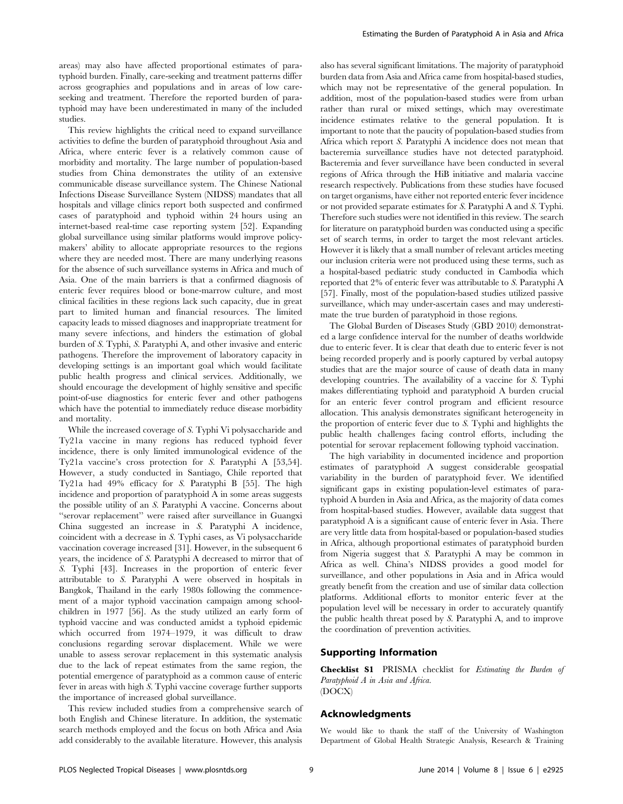areas) may also have affected proportional estimates of paratyphoid burden. Finally, care-seeking and treatment patterns differ across geographies and populations and in areas of low careseeking and treatment. Therefore the reported burden of paratyphoid may have been underestimated in many of the included studies.

This review highlights the critical need to expand surveillance activities to define the burden of paratyphoid throughout Asia and Africa, where enteric fever is a relatively common cause of morbidity and mortality. The large number of population-based studies from China demonstrates the utility of an extensive communicable disease surveillance system. The Chinese National Infections Disease Surveillance System (NIDSS) mandates that all hospitals and village clinics report both suspected and confirmed cases of paratyphoid and typhoid within 24 hours using an internet-based real-time case reporting system [52]. Expanding global surveillance using similar platforms would improve policymakers' ability to allocate appropriate resources to the regions where they are needed most. There are many underlying reasons for the absence of such surveillance systems in Africa and much of Asia. One of the main barriers is that a confirmed diagnosis of enteric fever requires blood or bone-marrow culture, and most clinical facilities in these regions lack such capacity, due in great part to limited human and financial resources. The limited capacity leads to missed diagnoses and inappropriate treatment for many severe infections, and hinders the estimation of global burden of S. Typhi, S. Paratyphi A, and other invasive and enteric pathogens. Therefore the improvement of laboratory capacity in developing settings is an important goal which would facilitate public health progress and clinical services. Additionally, we should encourage the development of highly sensitive and specific point-of-use diagnostics for enteric fever and other pathogens which have the potential to immediately reduce disease morbidity and mortality.

While the increased coverage of S. Typhi Vi polysaccharide and Ty21a vaccine in many regions has reduced typhoid fever incidence, there is only limited immunological evidence of the Ty21a vaccine's cross protection for S. Paratyphi A [53,54]. However, a study conducted in Santiago, Chile reported that Ty21a had 49% efficacy for S. Paratyphi B [55]. The high incidence and proportion of paratyphoid A in some areas suggests the possible utility of an S. Paratyphi A vaccine. Concerns about ''serovar replacement'' were raised after surveillance in Guangxi China suggested an increase in S. Paratyphi A incidence, coincident with a decrease in S. Typhi cases, as Vi polysaccharide vaccination coverage increased [31]. However, in the subsequent 6 years, the incidence of S. Paratyphi A decreased to mirror that of S. Typhi [43]. Increases in the proportion of enteric fever attributable to S. Paratyphi A were observed in hospitals in Bangkok, Thailand in the early 1980s following the commencement of a major typhoid vaccination campaign among schoolchildren in 1977 [56]. As the study utilized an early form of typhoid vaccine and was conducted amidst a typhoid epidemic which occurred from 1974–1979, it was difficult to draw conclusions regarding serovar displacement. While we were unable to assess serovar replacement in this systematic analysis due to the lack of repeat estimates from the same region, the potential emergence of paratyphoid as a common cause of enteric fever in areas with high S. Typhi vaccine coverage further supports the importance of increased global surveillance.

This review included studies from a comprehensive search of both English and Chinese literature. In addition, the systematic search methods employed and the focus on both Africa and Asia add considerably to the available literature. However, this analysis

also has several significant limitations. The majority of paratyphoid burden data from Asia and Africa came from hospital-based studies, which may not be representative of the general population. In addition, most of the population-based studies were from urban rather than rural or mixed settings, which may overestimate incidence estimates relative to the general population. It is important to note that the paucity of population-based studies from Africa which report S. Paratyphi A incidence does not mean that bacteremia surveillance studies have not detected paratyphoid. Bacteremia and fever surveillance have been conducted in several regions of Africa through the HiB initiative and malaria vaccine research respectively. Publications from these studies have focused on target organisms, have either not reported enteric fever incidence or not provided separate estimates for S. Paratyphi A and S. Typhi. Therefore such studies were not identified in this review. The search for literature on paratyphoid burden was conducted using a specific set of search terms, in order to target the most relevant articles. However it is likely that a small number of relevant articles meeting our inclusion criteria were not produced using these terms, such as a hospital-based pediatric study conducted in Cambodia which reported that 2% of enteric fever was attributable to S. Paratyphi A [57]. Finally, most of the population-based studies utilized passive surveillance, which may under-ascertain cases and may underestimate the true burden of paratyphoid in those regions.

The Global Burden of Diseases Study (GBD 2010) demonstrated a large confidence interval for the number of deaths worldwide due to enteric fever. It is clear that death due to enteric fever is not being recorded properly and is poorly captured by verbal autopsy studies that are the major source of cause of death data in many developing countries. The availability of a vaccine for S. Typhi makes differentiating typhoid and paratyphoid A burden crucial for an enteric fever control program and efficient resource allocation. This analysis demonstrates significant heterogeneity in the proportion of enteric fever due to S. Typhi and highlights the public health challenges facing control efforts, including the potential for serovar replacement following typhoid vaccination.

The high variability in documented incidence and proportion estimates of paratyphoid A suggest considerable geospatial variability in the burden of paratyphoid fever. We identified significant gaps in existing population-level estimates of paratyphoid A burden in Asia and Africa, as the majority of data comes from hospital-based studies. However, available data suggest that paratyphoid A is a significant cause of enteric fever in Asia. There are very little data from hospital-based or population-based studies in Africa, although proportional estimates of paratyphoid burden from Nigeria suggest that S. Paratyphi A may be common in Africa as well. China's NIDSS provides a good model for surveillance, and other populations in Asia and in Africa would greatly benefit from the creation and use of similar data collection platforms. Additional efforts to monitor enteric fever at the population level will be necessary in order to accurately quantify the public health threat posed by S. Paratyphi A, and to improve the coordination of prevention activities.

#### Supporting Information

Checklist S1 PRISMA checklist for Estimating the Burden of Paratyphoid A in Asia and Africa. (DOCX)

#### Acknowledgments

We would like to thank the staff of the University of Washington Department of Global Health Strategic Analysis, Research & Training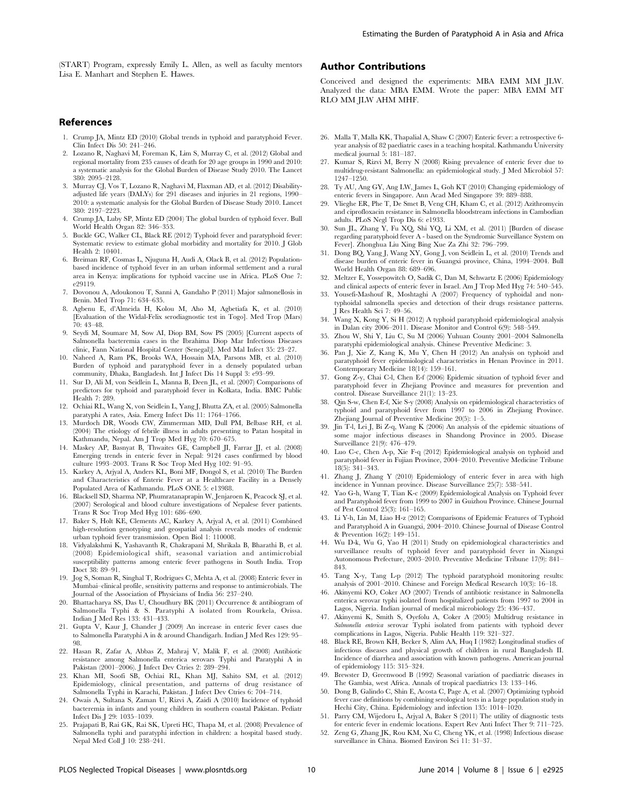(START) Program, expressly Emily L. Allen, as well as faculty mentors Lisa E. Manhart and Stephen E. Hawes.

#### References

- 1. Crump JA, Mintz ED (2010) Global trends in typhoid and paratyphoid Fever. Clin Infect Dis 50: 241–246.
- 2. Lozano R, Naghavi M, Foreman K, Lim S, Murray C, et al. (2012) Global and regional mortality from 235 causes of death for 20 age groups in 1990 and 2010: a systematic analysis for the Global Burden of Disease Study 2010. The Lancet 380: 2095–2128.
- 3. Murray CJ, Vos T, Lozano R, Naghavi M, Flaxman AD, et al. (2012) Disabilityadjusted life years (DALYs) for 291 diseases and injuries in 21 regions, 1990– 2010: a systematic analysis for the Global Burden of Disease Study 2010. Lancet 380: 2197–2223.
- 4. Crump JA, Luby SP, Mintz ED (2004) The global burden of typhoid fever. Bull World Health Organ 82: 346–353.
- 5. Buckle GC, Walker CL, Black RE (2012) Typhoid fever and paratyphoid fever: Systematic review to estimate global morbidity and mortality for 2010. J Glob Health 2: 10401.
- 6. Breiman RF, Cosmas L, Njuguna H, Audi A, Olack B, et al. (2012) Populationbased incidence of typhoid fever in an urban informal settlement and a rural area in Kenya: implications for typhoid vaccine use in Africa. PLoS One 7: e29119.
- 7. Dovonou A, Adoukonou T, Sanni A, Gandaho P (2011) Major salmonellosis in Benin. Med Trop 71: 634–635.
- 8. Agbenu E, d'Almeida H, Kolou M, Aho M, Agbetiafa K, et al. (2010) [Evaluation of the Widal-Felix serodiagnostic test in Togo]. Med Trop (Mars) 70: 43–48.
- 9. Seydi M, Soumare M, Sow AI, Diop BM, Sow PS (2005) [Current aspects of Salmonella bacteremia cases in the Ibrahima Diop Mar Infectious Diseases clinic, Fann National Hospital Center (Senegal)]. Med Mal Infect 35: 23–27.
- 10. Naheed A, Ram PK, Brooks WA, Hossain MA, Parsons MB, et al. (2010) Burden of typhoid and paratyphoid fever in a densely populated urban community, Dhaka, Bangladesh. Int J Infect Dis 14 Suppl 3: e93–99.
- 11. Sur D, Ali M, von Seidlein L, Manna B, Deen JL, et al. (2007) Comparisons of predictors for typhoid and paratyphoid fever in Kolkata, India. BMC Public Health 7: 289.
- 12. Ochiai RL, Wang X, von Seidlein L, Yang J, Bhutta ZA, et al. (2005) Salmonella paratyphi A rates, Asia. Emerg Infect Dis 11: 1764–1766.
- 13. Murdoch DR, Woods CW, Zimmerman MD, Dull PM, Belbase RH, et al. (2004) The etiology of febrile illness in adults presenting to Patan hospital in Kathmandu, Nepal. Am J Trop Med Hyg 70: 670–675.
- 14. Maskey AP, Basnyat B, Thwaites GE, Campbell JI, Farrar JJ, et al. (2008) Emerging trends in enteric fever in Nepal: 9124 cases confirmed by blood culture 1993–2003. Trans R Soc Trop Med Hyg 102: 91–95.
- 15. Karkey A, Arjyal A, Anders KL, Boni MF, Dongol S, et al. (2010) The Burden and Characteristics of Enteric Fever at a Healthcare Facility in a Densely Populated Area of Kathmandu. PLoS ONE 5: e13988.
- 16. Blacksell SD, Sharma NP, Phumratanaprapin W, Jenjaroen K, Peacock SJ, et al. (2007) Serological and blood culture investigations of Nepalese fever patients. Trans R Soc Trop Med Hyg 101: 686–690.
- 17. Baker S, Holt KE, Clements AC, Karkey A, Arjyal A, et al. (2011) Combined high-resolution genotyping and geospatial analysis reveals modes of endemic urban typhoid fever transmission. Open Biol 1: 110008.
- 18. Vidyalakshmi K, Yashavanth R, Chakrapani M, Shrikala B, Bharathi B, et al. (2008) Epidemiological shift, seasonal variation and antimicrobial susceptibility patterns among enteric fever pathogens in South India. Trop Doct 38: 89–91.
- 19. Jog S, Soman R, Singhal T, Rodrigues C, Mehta A, et al. (2008) Enteric fever in Mumbai–clinical profile, sensitivity patterns and response to antimicrobials. The Journal of the Association of Physicians of India 56: 237–240.
- 20. Bhattacharya SS, Das U, Choudhury BK (2011) Occurrence & antibiogram of Salmonella Typhi & S. Paratyphi A isolated from Rourkela, Orissa. Indian J Med Res 133: 431–433.
- 21. Gupta V, Kaur J, Chander J (2009) An increase in enteric fever cases due to Salmonella Paratyphi A in & around Chandigarh. Indian J Med Res 129: 95– 98.
- 22. Hasan R, Zafar A, Abbas Z, Mahraj V, Malik F, et al. (2008) Antibiotic resistance among Salmonella enterica serovars Typhi and Paratyphi A in Pakistan (2001–2006). J Infect Dev Ctries 2: 289–294.
- 23. Khan MI, Soofi SB, Ochiai RL, Khan MJ, Sahito SM, et al. (2012) Epidemiology, clinical presentation, and patterns of drug resistance of Salmonella Typhi in Karachi, Pakistan. J Infect Dev Ctries 6: 704–714.
- 24. Owais A, Sultana S, Zaman U, Rizvi A, Zaidi A (2010) Incidence of typhoid bacteremia in infants and young children in southern coastal Pakistan. Pediatr Infect Dis J 29: 1035–1039.
- 25. Prajapati B, Rai GK, Rai SK, Upreti HC, Thapa M, et al. (2008) Prevalence of Salmonella typhi and paratyphi infection in children: a hospital based study. Nepal Med Coll J 10: 238–241.

# Author Contributions

Conceived and designed the experiments: MBA EMM MM JLW. Analyzed the data: MBA EMM. Wrote the paper: MBA EMM MT RLO MM JLW AHM MHF.

- 26. Malla T, Malla KK, Thapalial A, Shaw C (2007) Enteric fever: a retrospective 6 year analysis of 82 paediatric cases in a teaching hospital. Kathmandu University medical journal 5: 181–187.
- 27. Kumar S, Rizvi M, Berry N (2008) Rising prevalence of enteric fever due to multidrug-resistant Salmonella: an epidemiological study. J Med Microbiol 57: 1247–1250.
- 28. Ty AU, Ang GY, Ang LW, James L, Goh KT (2010) Changing epidemiology of enteric fevers in Singapore. Ann Acad Med Singapore 39: 889–888.
- 29. Vlieghe ER, Phe T, De Smet B, Veng CH, Kham C, et al. (2012) Azithromycin and ciprofloxacin resistance in Salmonella bloodstream infections in Cambodian adults. PLoS Negl Trop Dis 6: e1933.
- 30. Sun JL, Zhang Y, Fu XQ, Shi YQ, Li XM, et al. (2011) [Burden of disease regarding paratyphoid fever A - based on the Syndromic Surveillance System on Fever]. Zhonghua Liu Xing Bing Xue Za Zhi 32: 796–799.
- 31. Dong BQ, Yang J, Wang XY, Gong J, von Seidlein L, et al. (2010) Trends and disease burden of enteric fever in Guangxi province, China, 1994–2004. Bull World Health Organ 88: 689–696.
- 32. Meltzer E, Yossepowitch O, Sadik C, Dan M, Schwartz E (2006) Epidemiology and clinical aspects of enteric fever in Israel. Am J Trop Med Hyg 74: 540–545.
- 33. Yousefi-Mashouf R, Moshtaghi A (2007) Frequency of typhoidal and nontyphoidal salmonella species and detection of their drugs resistance patterns. J Res Health Sci 7: 49–56.
- 34. Wang X, Kong Y, Si H (2012) A typhoid paratyphoid epidemiological analysis in Dalan city 2006–2011. Disease Monitor and Control 6(9): 548–549.
- 35. Zhou W, Shi Y, Liu C, Su M (2006) Yuhuan County 2001–2004 Salmonella paratyphi epidemiological analysis. Chinese Preventive Medicine: 3.
- 36. Pan J, Xie Z, Kang K, Mu Y, Chen H (2012) An analysis on typhoid and paratyphoid fever epidemiological characteristics in Henan Province in 2011. Contemporary Medicine 18(14): 159–161.
- 37. Gong Z-y, Chai C-l, Chen E-f (2006) Epidemic situation of typhoid fever and paratyphoid fever in Zhejiang Province and measures for prevention and control. Disease Surveillance 21(1): 13–23.
- 38. Qin S-w, Chen E-f, Xie S-y (2008) Analysis on epidemiological characteristics of typhoid and paratyphoid fever from 1997 to 2006 in Zhejiang Province. Zhejiang Journal of Preventive Medicine 20(5): 1–5.
- 39. Jin T-l, Lei J, Bi Z-q, Wang K (2006) An analysis of the epidemic situations of some major infectious diseases in Shandong Province in 2005. Disease Surveillance 21(9): 476–479.
- 40. Luo C-c, Chen A-p, Xie F-q (2012) Epidemiological analysis on typhoid and paratyphoid fever in Fujian Province, 2004–2010. Preventive Medicine Tribune 18(5): 341–343.
- 41. Zhang J, Zhang Y (2010) Epidemiology of enteric fever in area with high incidence in Yunnan province. Disease Surveillance 25(7): 538–541.
- 42. Yao G-h, Wang T, Tian K-c (2009) Epidemiological Analysis on Typhoid fever and Paratyphoid fever from 1999 to 2007 in Guizhou Province. Chinese Journal of Pest Control 25(3): 161–165.
- 43. Li Y-h, Lin M, Liao H-z (2012) Comparisons of Epidemic Features of Typhoid and Paratyphoid A in Guangxi, 2004–2010. Chinese Journal of Disease Control & Prevention 16(2): 149–151.
- 44. Wu D-k, Wu G, Yao H (2011) Study on epidemiological characteristics and surveillance results of typhoid fever and paratyphoid fever in Xiangxi Autonomous Prefecture, 2003–2010. Preventive Medicine Tribune 17(9): 841– 843.
- 45. Tang X-y, Tang L-p (2012) The typhoid paratyphoid monitoring results: analysis of 2001–2010. Chinese and Foreign Medical Research 10(3): 16–18.
- 46. Akinyemi KO, Coker AO (2007) Trends of antibiotic resistance in Salmonella enterica serovar typhi isolated from hospitalized patients from 1997 to 2004 in Lagos, Nigeria. Indian journal of medical microbiology 25: 436–437.
- 47. Akinyemi K, Smith S, Oyefolu A, Coker A (2005) Multidrug resistance in Salmonella enterica serovar Typhi isolated from patients with typhoid dever complications in Lagos, Nigeria. Public Health 119: 321–327.
- 48. Black RE, Brown KH, Becker S, Alim AA, Huq I (1982) Longitudinal studies of infectious diseases and physical growth of children in rural Bangladesh II. Incidence of diarrhea and association with known pathogens. American journal of epidemiology 115: 315–324.
- 49. Brewster D, Greenwood B (1992) Seasonal variation of paediatric diseases in The Gambia, west Africa. Annals of tropical paediatrics 13: 133–146.
- 50. Dong B, Galindo C, Shin E, Acosta C, Page A, et al. (2007) Optimizing typhoid fever case definitions by combining serological tests in a large population study in Hechi City, China. Epidemiology and infection 135: 1014–1020.
- 51. Parry CM, Wijedoru L, Arjyal A, Baker S (2011) The utility of diagnostic tests for enteric fever in endemic locations. Expert Rev Anti Infect Ther 9: 711–725.
- 52. Zeng G, Zhang JK, Rou KM, Xu C, Cheng YK, et al. (1998) Infectious disease surveillance in China. Biomed Environ Sci 11: 31–37.